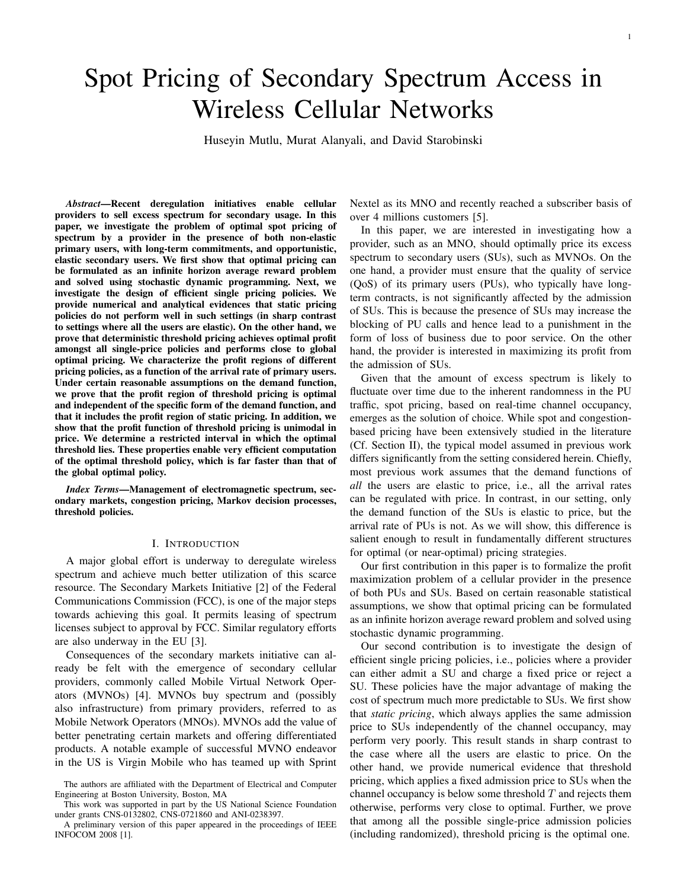# Spot Pricing of Secondary Spectrum Access in Wireless Cellular Networks

Huseyin Mutlu, Murat Alanyali, and David Starobinski

*Abstract*—Recent deregulation initiatives enable cellular providers to sell excess spectrum for secondary usage. In this paper, we investigate the problem of optimal spot pricing of spectrum by a provider in the presence of both non-elastic primary users, with long-term commitments, and opportunistic, elastic secondary users. We first show that optimal pricing can be formulated as an infinite horizon average reward problem and solved using stochastic dynamic programming. Next, we investigate the design of efficient single pricing policies. We provide numerical and analytical evidences that static pricing policies do not perform well in such settings (in sharp contrast to settings where all the users are elastic). On the other hand, we prove that deterministic threshold pricing achieves optimal profit amongst all single-price policies and performs close to global optimal pricing. We characterize the profit regions of different pricing policies, as a function of the arrival rate of primary users. Under certain reasonable assumptions on the demand function, we prove that the profit region of threshold pricing is optimal and independent of the specific form of the demand function, and that it includes the profit region of static pricing. In addition, we show that the profit function of threshold pricing is unimodal in price. We determine a restricted interval in which the optimal threshold lies. These properties enable very efficient computation of the optimal threshold policy, which is far faster than that of the global optimal policy.

*Index Terms*—Management of electromagnetic spectrum, secondary markets, congestion pricing, Markov decision processes, threshold policies.

# I. INTRODUCTION

A major global effort is underway to deregulate wireless spectrum and achieve much better utilization of this scarce resource. The Secondary Markets Initiative [2] of the Federal Communications Commission (FCC), is one of the major steps towards achieving this goal. It permits leasing of spectrum licenses subject to approval by FCC. Similar regulatory efforts are also underway in the EU [3].

Consequences of the secondary markets initiative can already be felt with the emergence of secondary cellular providers, commonly called Mobile Virtual Network Operators (MVNOs) [4]. MVNOs buy spectrum and (possibly also infrastructure) from primary providers, referred to as Mobile Network Operators (MNOs). MVNOs add the value of better penetrating certain markets and offering differentiated products. A notable example of successful MVNO endeavor in the US is Virgin Mobile who has teamed up with Sprint Nextel as its MNO and recently reached a subscriber basis of over 4 millions customers [5].

In this paper, we are interested in investigating how a provider, such as an MNO, should optimally price its excess spectrum to secondary users (SUs), such as MVNOs. On the one hand, a provider must ensure that the quality of service (QoS) of its primary users (PUs), who typically have longterm contracts, is not significantly affected by the admission of SUs. This is because the presence of SUs may increase the blocking of PU calls and hence lead to a punishment in the form of loss of business due to poor service. On the other hand, the provider is interested in maximizing its profit from the admission of SUs.

Given that the amount of excess spectrum is likely to fluctuate over time due to the inherent randomness in the PU traffic, spot pricing, based on real-time channel occupancy, emerges as the solution of choice. While spot and congestionbased pricing have been extensively studied in the literature (Cf. Section II), the typical model assumed in previous work differs significantly from the setting considered herein. Chiefly, most previous work assumes that the demand functions of *all* the users are elastic to price, i.e., all the arrival rates can be regulated with price. In contrast, in our setting, only the demand function of the SUs is elastic to price, but the arrival rate of PUs is not. As we will show, this difference is salient enough to result in fundamentally different structures for optimal (or near-optimal) pricing strategies.

Our first contribution in this paper is to formalize the profit maximization problem of a cellular provider in the presence of both PUs and SUs. Based on certain reasonable statistical assumptions, we show that optimal pricing can be formulated as an infinite horizon average reward problem and solved using stochastic dynamic programming.

Our second contribution is to investigate the design of efficient single pricing policies, i.e., policies where a provider can either admit a SU and charge a fixed price or reject a SU. These policies have the major advantage of making the cost of spectrum much more predictable to SUs. We first show that *static pricing*, which always applies the same admission price to SUs independently of the channel occupancy, may perform very poorly. This result stands in sharp contrast to the case where all the users are elastic to price. On the other hand, we provide numerical evidence that threshold pricing, which applies a fixed admission price to SUs when the channel occupancy is below some threshold  $T$  and rejects them otherwise, performs very close to optimal. Further, we prove that among all the possible single-price admission policies (including randomized), threshold pricing is the optimal one.

The authors are affiliated with the Department of Electrical and Computer Engineering at Boston University, Boston, MA

This work was supported in part by the US National Science Foundation under grants CNS-0132802, CNS-0721860 and ANI-0238397.

A preliminary version of this paper appeared in the proceedings of IEEE INFOCOM 2008 [1].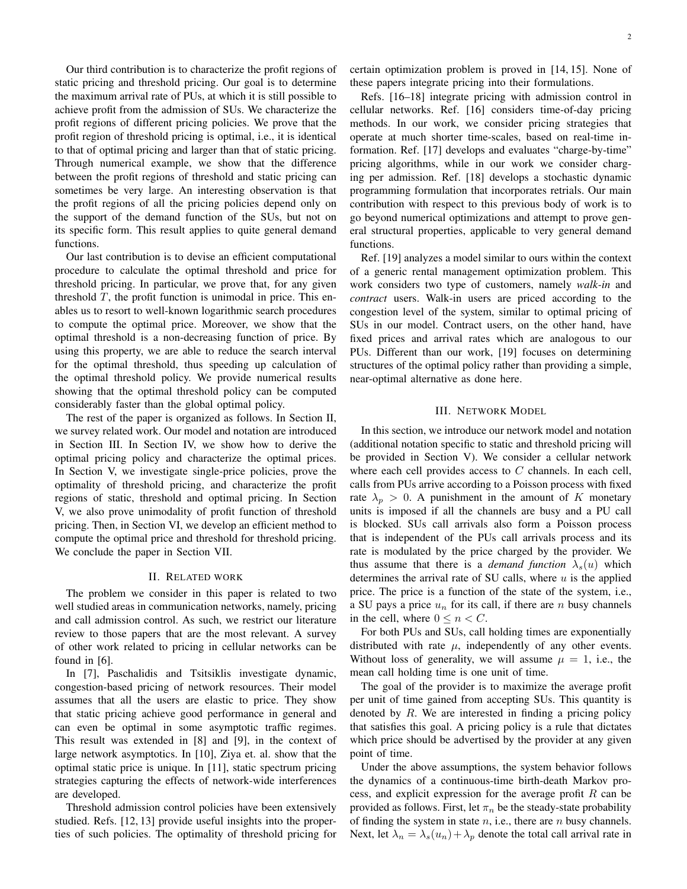Our third contribution is to characterize the profit regions of static pricing and threshold pricing. Our goal is to determine the maximum arrival rate of PUs, at which it is still possible to achieve profit from the admission of SUs. We characterize the profit regions of different pricing policies. We prove that the profit region of threshold pricing is optimal, i.e., it is identical to that of optimal pricing and larger than that of static pricing. Through numerical example, we show that the difference between the profit regions of threshold and static pricing can sometimes be very large. An interesting observation is that the profit regions of all the pricing policies depend only on the support of the demand function of the SUs, but not on its specific form. This result applies to quite general demand functions.

Our last contribution is to devise an efficient computational procedure to calculate the optimal threshold and price for threshold pricing. In particular, we prove that, for any given threshold  $T$ , the profit function is unimodal in price. This enables us to resort to well-known logarithmic search procedures to compute the optimal price. Moreover, we show that the optimal threshold is a non-decreasing function of price. By using this property, we are able to reduce the search interval for the optimal threshold, thus speeding up calculation of the optimal threshold policy. We provide numerical results showing that the optimal threshold policy can be computed considerably faster than the global optimal policy.

The rest of the paper is organized as follows. In Section II, we survey related work. Our model and notation are introduced in Section III. In Section IV, we show how to derive the optimal pricing policy and characterize the optimal prices. In Section V, we investigate single-price policies, prove the optimality of threshold pricing, and characterize the profit regions of static, threshold and optimal pricing. In Section V, we also prove unimodality of profit function of threshold pricing. Then, in Section VI, we develop an efficient method to compute the optimal price and threshold for threshold pricing. We conclude the paper in Section VII.

# II. RELATED WORK

The problem we consider in this paper is related to two well studied areas in communication networks, namely, pricing and call admission control. As such, we restrict our literature review to those papers that are the most relevant. A survey of other work related to pricing in cellular networks can be found in [6].

In [7], Paschalidis and Tsitsiklis investigate dynamic, congestion-based pricing of network resources. Their model assumes that all the users are elastic to price. They show that static pricing achieve good performance in general and can even be optimal in some asymptotic traffic regimes. This result was extended in [8] and [9], in the context of large network asymptotics. In [10], Ziya et. al. show that the optimal static price is unique. In [11], static spectrum pricing strategies capturing the effects of network-wide interferences are developed.

Threshold admission control policies have been extensively studied. Refs. [12, 13] provide useful insights into the properties of such policies. The optimality of threshold pricing for certain optimization problem is proved in [14, 15]. None of these papers integrate pricing into their formulations.

Refs. [16–18] integrate pricing with admission control in cellular networks. Ref. [16] considers time-of-day pricing methods. In our work, we consider pricing strategies that operate at much shorter time-scales, based on real-time information. Ref. [17] develops and evaluates "charge-by-time" pricing algorithms, while in our work we consider charging per admission. Ref. [18] develops a stochastic dynamic programming formulation that incorporates retrials. Our main contribution with respect to this previous body of work is to go beyond numerical optimizations and attempt to prove general structural properties, applicable to very general demand functions.

Ref. [19] analyzes a model similar to ours within the context of a generic rental management optimization problem. This work considers two type of customers, namely *walk-in* and *contract* users. Walk-in users are priced according to the congestion level of the system, similar to optimal pricing of SUs in our model. Contract users, on the other hand, have fixed prices and arrival rates which are analogous to our PUs. Different than our work, [19] focuses on determining structures of the optimal policy rather than providing a simple, near-optimal alternative as done here.

#### III. NETWORK MODEL

In this section, we introduce our network model and notation (additional notation specific to static and threshold pricing will be provided in Section V). We consider a cellular network where each cell provides access to  $C$  channels. In each cell, calls from PUs arrive according to a Poisson process with fixed rate  $\lambda_p > 0$ . A punishment in the amount of K monetary units is imposed if all the channels are busy and a PU call is blocked. SUs call arrivals also form a Poisson process that is independent of the PUs call arrivals process and its rate is modulated by the price charged by the provider. We thus assume that there is a *demand function*  $\lambda_s(u)$  which determines the arrival rate of SU calls, where  $u$  is the applied price. The price is a function of the state of the system, i.e., a SU pays a price  $u_n$  for its call, if there are n busy channels in the cell, where  $0 \le n \le C$ .

For both PUs and SUs, call holding times are exponentially distributed with rate  $\mu$ , independently of any other events. Without loss of generality, we will assume  $\mu = 1$ , i.e., the mean call holding time is one unit of time.

The goal of the provider is to maximize the average profit per unit of time gained from accepting SUs. This quantity is denoted by  $R$ . We are interested in finding a pricing policy that satisfies this goal. A pricing policy is a rule that dictates which price should be advertised by the provider at any given point of time.

Under the above assumptions, the system behavior follows the dynamics of a continuous-time birth-death Markov process, and explicit expression for the average profit  $R$  can be provided as follows. First, let  $\pi_n$  be the steady-state probability of finding the system in state  $n$ , i.e., there are  $n$  busy channels. Next, let  $\lambda_n = \lambda_s(u_n) + \lambda_n$  denote the total call arrival rate in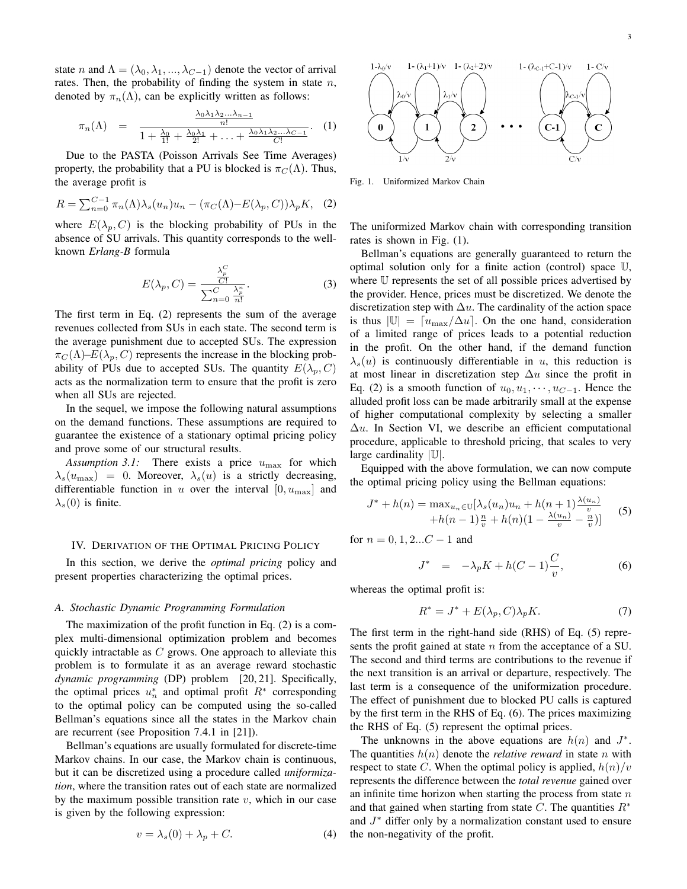state n and  $\Lambda = (\lambda_0, \lambda_1, ..., \lambda_{C-1})$  denote the vector of arrival rates. Then, the probability of finding the system in state  $n$ , denoted by  $\pi_n(\Lambda)$ , can be explicitly written as follows:

$$
\pi_n(\Lambda) = \frac{\frac{\lambda_0 \lambda_1 \lambda_2 \ldots \lambda_{n-1}}{n!}}{1 + \frac{\lambda_0}{1!} + \frac{\lambda_0 \lambda_1}{2!} + \ldots + \frac{\lambda_0 \lambda_1 \lambda_2 \ldots \lambda_{C-1}}{C!}}.
$$
 (1)

Due to the PASTA (Poisson Arrivals See Time Averages) property, the probability that a PU is blocked is  $\pi_C(\Lambda)$ . Thus, the average profit is

$$
R = \sum_{n=0}^{C-1} \pi_n(\Lambda) \lambda_s(u_n) u_n - (\pi_C(\Lambda) - E(\lambda_p, C)) \lambda_p K, \quad (2)
$$

where  $E(\lambda_n, C)$  is the blocking probability of PUs in the absence of SU arrivals. This quantity corresponds to the wellknown *Erlang-B* formula

$$
E(\lambda_p, C) = \frac{\frac{\lambda_p^C}{C!}}{\sum_{n=0}^C \frac{\lambda_p^n}{n!}}.
$$
 (3)

The first term in Eq. (2) represents the sum of the average revenues collected from SUs in each state. The second term is the average punishment due to accepted SUs. The expression  $\pi_C(\Lambda)$ – $E(\lambda_p, C)$  represents the increase in the blocking probability of PUs due to accepted SUs. The quantity  $E(\lambda_p, C)$ acts as the normalization term to ensure that the profit is zero when all SUs are rejected.

In the sequel, we impose the following natural assumptions on the demand functions. These assumptions are required to guarantee the existence of a stationary optimal pricing policy and prove some of our structural results.

*Assumption 3.1:* There exists a price  $u_{\text{max}}$  for which  $\lambda_s(u_{\text{max}}) = 0$ . Moreover,  $\lambda_s(u)$  is a strictly decreasing, differentiable function in u over the interval  $[0, u_{\text{max}}]$  and  $\lambda_s(0)$  is finite.

#### IV. DERIVATION OF THE OPTIMAL PRICING POLICY

In this section, we derive the *optimal pricing* policy and present properties characterizing the optimal prices.

# *A. Stochastic Dynamic Programming Formulation*

The maximization of the profit function in Eq. (2) is a complex multi-dimensional optimization problem and becomes quickly intractable as  $C$  grows. One approach to alleviate this problem is to formulate it as an average reward stochastic *dynamic programming* (DP) problem [20, 21]. Specifically, the optimal prices  $u_n^*$  and optimal profit  $R^*$  corresponding to the optimal policy can be computed using the so-called Bellman's equations since all the states in the Markov chain are recurrent (see Proposition 7.4.1 in [21]).

Bellman's equations are usually formulated for discrete-time Markov chains. In our case, the Markov chain is continuous, but it can be discretized using a procedure called *uniformization*, where the transition rates out of each state are normalized by the maximum possible transition rate  $v$ , which in our case is given by the following expression:

$$
v = \lambda_s(0) + \lambda_p + C. \tag{4}
$$



Fig. 1. Uniformized Markov Chain

The uniformized Markov chain with corresponding transition rates is shown in Fig. (1).

Bellman's equations are generally guaranteed to return the optimal solution only for a finite action (control) space U, where U represents the set of all possible prices advertised by the provider. Hence, prices must be discretized. We denote the discretization step with  $\Delta u$ . The cardinality of the action space is thus  $|\mathbb{U}| = [u_{\text{max}}/\Delta u]$ . On the one hand, consideration of a limited range of prices leads to a potential reduction in the profit. On the other hand, if the demand function  $\lambda_s(u)$  is continuously differentiable in u, this reduction is at most linear in discretization step  $\Delta u$  since the profit in Eq. (2) is a smooth function of  $u_0, u_1, \dots, u_{C-1}$ . Hence the alluded profit loss can be made arbitrarily small at the expense of higher computational complexity by selecting a smaller  $\Delta u$ . In Section VI, we describe an efficient computational procedure, applicable to threshold pricing, that scales to very large cardinality |U|.

Equipped with the above formulation, we can now compute the optimal pricing policy using the Bellman equations:

$$
J^* + h(n) = \max_{u_n \in \mathbb{U}} \left[ \lambda_s(u_n) u_n + h(n+1) \frac{\lambda(u_n)}{v} + h(n-1) \frac{n}{v} + h(n) \left( 1 - \frac{\lambda(u_n)}{v} - \frac{n}{v} \right) \right] \tag{5}
$$

for  $n = 0, 1, 2...C - 1$  and

$$
J^* = -\lambda_p K + h(C - 1)\frac{C}{v}, \tag{6}
$$

whereas the optimal profit is:

$$
R^* = J^* + E(\lambda_p, C)\lambda_p K. \tag{7}
$$

The first term in the right-hand side (RHS) of Eq. (5) represents the profit gained at state  $n$  from the acceptance of a SU. The second and third terms are contributions to the revenue if the next transition is an arrival or departure, respectively. The last term is a consequence of the uniformization procedure. The effect of punishment due to blocked PU calls is captured by the first term in the RHS of Eq. (6). The prices maximizing the RHS of Eq. (5) represent the optimal prices.

The unknowns in the above equations are  $h(n)$  and  $J^*$ . The quantities  $h(n)$  denote the *relative reward* in state n with respect to state C. When the optimal policy is applied,  $h(n)/v$ represents the difference between the *total revenue* gained over an infinite time horizon when starting the process from state  $n$ and that gained when starting from state C. The quantities  $R^*$ and  $J^*$  differ only by a normalization constant used to ensure the non-negativity of the profit.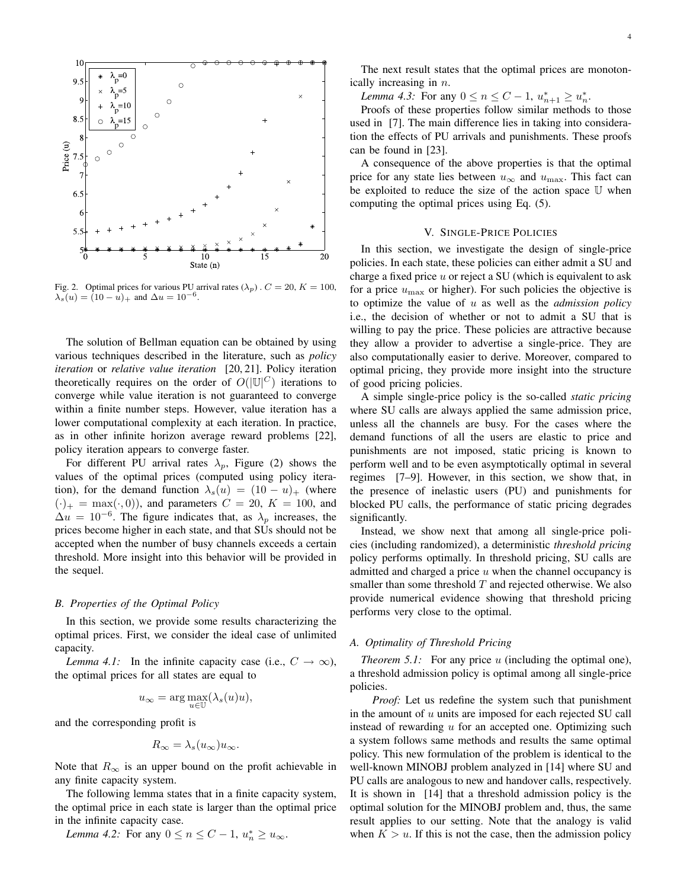

Fig. 2. Optimal prices for various PU arrival rates  $(\lambda_p)$ .  $C = 20$ ,  $K = 100$ ,  $\lambda_s(u) = (10 - u)_{+}$  and  $\Delta u = 10^{-6}$ .

The solution of Bellman equation can be obtained by using various techniques described in the literature, such as *policy iteration* or *relative value iteration* [20, 21]. Policy iteration theoretically requires on the order of  $O(|\mathbb{U}|^C)$  iterations to converge while value iteration is not guaranteed to converge within a finite number steps. However, value iteration has a lower computational complexity at each iteration. In practice, as in other infinite horizon average reward problems [22], policy iteration appears to converge faster.

For different PU arrival rates  $\lambda_p$ , Figure (2) shows the values of the optimal prices (computed using policy iteration), for the demand function  $\lambda_s(u) = (10 - u)_+$  (where  $(\cdot)_{+} = \max(\cdot, 0)$ , and parameters  $C = 20$ ,  $K = 100$ , and  $\Delta u = 10^{-6}$ . The figure indicates that, as  $\lambda_p$  increases, the prices become higher in each state, and that SUs should not be accepted when the number of busy channels exceeds a certain threshold. More insight into this behavior will be provided in the sequel.

# *B. Properties of the Optimal Policy*

In this section, we provide some results characterizing the optimal prices. First, we consider the ideal case of unlimited capacity.

*Lemma 4.1:* In the infinite capacity case (i.e.,  $C \rightarrow \infty$ ), the optimal prices for all states are equal to

$$
u_{\infty} = \arg \max_{u \in \mathbb{U}} (\lambda_s(u)u),
$$

and the corresponding profit is

$$
R_{\infty} = \lambda_s(u_{\infty})u_{\infty}.
$$

Note that  $R_{\infty}$  is an upper bound on the profit achievable in any finite capacity system.

The following lemma states that in a finite capacity system, the optimal price in each state is larger than the optimal price in the infinite capacity case.

*Lemma 4.2:* For any  $0 \le n \le C - 1$ ,  $u_n^* \ge u_\infty$ .

The next result states that the optimal prices are monotonically increasing in  $n$ .

*Lemma 4.3:* For any  $0 \le n \le C - 1$ ,  $u_{n+1}^* \ge u_n^*$ .

Proofs of these properties follow similar methods to those used in [7]. The main difference lies in taking into consideration the effects of PU arrivals and punishments. These proofs can be found in [23].

A consequence of the above properties is that the optimal price for any state lies between  $u_{\infty}$  and  $u_{\max}$ . This fact can be exploited to reduce the size of the action space U when computing the optimal prices using Eq. (5).

# V. SINGLE-PRICE POLICIES

In this section, we investigate the design of single-price policies. In each state, these policies can either admit a SU and charge a fixed price  $u$  or reject a SU (which is equivalent to ask for a price  $u_{\text{max}}$  or higher). For such policies the objective is to optimize the value of u as well as the *admission policy* i.e., the decision of whether or not to admit a SU that is willing to pay the price. These policies are attractive because they allow a provider to advertise a single-price. They are also computationally easier to derive. Moreover, compared to optimal pricing, they provide more insight into the structure of good pricing policies.

A simple single-price policy is the so-called *static pricing* where SU calls are always applied the same admission price, unless all the channels are busy. For the cases where the demand functions of all the users are elastic to price and punishments are not imposed, static pricing is known to perform well and to be even asymptotically optimal in several regimes [7–9]. However, in this section, we show that, in the presence of inelastic users (PU) and punishments for blocked PU calls, the performance of static pricing degrades significantly.

Instead, we show next that among all single-price policies (including randomized), a deterministic *threshold pricing* policy performs optimally. In threshold pricing, SU calls are admitted and charged a price  $u$  when the channel occupancy is smaller than some threshold  $T$  and rejected otherwise. We also provide numerical evidence showing that threshold pricing performs very close to the optimal.

# *A. Optimality of Threshold Pricing*

*Theorem 5.1:* For any price u (including the optimal one), a threshold admission policy is optimal among all single-price policies.

*Proof:* Let us redefine the system such that punishment in the amount of  $u$  units are imposed for each rejected SU call instead of rewarding  $u$  for an accepted one. Optimizing such a system follows same methods and results the same optimal policy. This new formulation of the problem is identical to the well-known MINOBJ problem analyzed in [14] where SU and PU calls are analogous to new and handover calls, respectively. It is shown in [14] that a threshold admission policy is the optimal solution for the MINOBJ problem and, thus, the same result applies to our setting. Note that the analogy is valid when  $K > u$ . If this is not the case, then the admission policy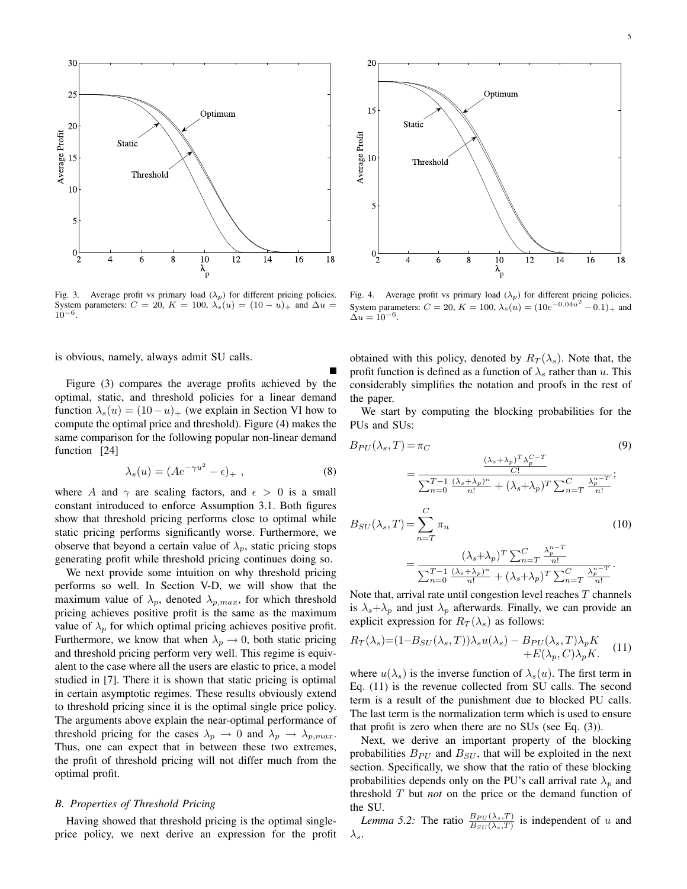

Fig. 3. Average profit vs primary load  $(\lambda_p)$  for different pricing policies. System parameters:  $C = 20$ ,  $K = 100$ ,  $\lambda_s(u) = (10 - u)_+$  and  $\Delta u =$  $10^{-6}$ .

is obvious, namely, always admit SU calls.

Figure (3) compares the average profits achieved by the optimal, static, and threshold policies for a linear demand function  $\lambda_s(u) = (10-u)_+$  (we explain in Section VI how to compute the optimal price and threshold). Figure (4) makes the same comparison for the following popular non-linear demand function [24]

$$
\lambda_s(u) = (Ae^{-\gamma u^2} - \epsilon)_+ \;, \tag{8}
$$

where A and  $\gamma$  are scaling factors, and  $\epsilon > 0$  is a small constant introduced to enforce Assumption 3.1. Both figures show that threshold pricing performs close to optimal while static pricing performs significantly worse. Furthermore, we observe that beyond a certain value of  $\lambda_p$ , static pricing stops generating profit while threshold pricing continues doing so.

We next provide some intuition on why threshold pricing performs so well. In Section V-D, we will show that the maximum value of  $\lambda_p$ , denoted  $\lambda_{p,max}$ , for which threshold pricing achieves positive profit is the same as the maximum value of  $\lambda_p$  for which optimal pricing achieves positive profit. Furthermore, we know that when  $\lambda_p \rightarrow 0$ , both static pricing and threshold pricing perform very well. This regime is equivalent to the case where all the users are elastic to price, a model studied in [7]. There it is shown that static pricing is optimal in certain asymptotic regimes. These results obviously extend to threshold pricing since it is the optimal single price policy. The arguments above explain the near-optimal performance of threshold pricing for the cases  $\lambda_p \rightarrow 0$  and  $\lambda_p \rightarrow \lambda_{p,max}$ . Thus, one can expect that in between these two extremes, the profit of threshold pricing will not differ much from the optimal profit.

# *B. Properties of Threshold Pricing*

Having showed that threshold pricing is the optimal singleprice policy, we next derive an expression for the profit



Fig. 4. Average profit vs primary load  $(\lambda_p)$  for different pricing policies. System parameters:  $C = 20$ ,  $K = 100$ ,  $\lambda_s(u) = (10e^{-0.04u^2} - 0.1)_{+}$  and  $\dot{\Delta u} = 10^{-6}$ .

obtained with this policy, denoted by  $R_T(\lambda_s)$ . Note that, the profit function is defined as a function of  $\lambda_s$  rather than u. This considerably simplifies the notation and proofs in the rest of the paper.

We start by computing the blocking probabilities for the PUs and SUs:

$$
B_{PU}(\lambda_s, T) = \pi_C
$$
\n
$$
= \frac{\frac{(\lambda_s + \lambda_p)^T \lambda_p^{C-T}}{C!}}{\sum_{n=0}^{T-1} \frac{(\lambda_s + \lambda_p)^n}{n!} + (\lambda_s + \lambda_p)^T \sum_{n=T}^{C} \frac{\lambda_p^{n-T}}{n!}};
$$
\n
$$
B_{SU}(\lambda_s, T) = \sum_{n=T}^{C} \pi_n
$$
\n
$$
= \frac{(\lambda_s + \lambda_p)^T \sum_{n=T}^{C} \frac{\lambda_p^{n-T}}{n!}}{\sum_{n=0}^{T-1} \frac{(\lambda_s + \lambda_p)^n}{n!} + (\lambda_s + \lambda_p)^T \sum_{n=T}^{C} \frac{\lambda_p^{n-T}}{n!}}.
$$
\n(10)

Note that, arrival rate until congestion level reaches  $T$  channels is  $\lambda_s + \lambda_p$  and just  $\lambda_p$  afterwards. Finally, we can provide an explicit expression for  $R_T(\lambda_s)$  as follows:

$$
R_T(\lambda_s) = (1 - B_{SU}(\lambda_s, T))\lambda_s u(\lambda_s) - B_{PU}(\lambda_s, T)\lambda_p K + E(\lambda_p, C)\lambda_p K.
$$
 (11)

where  $u(\lambda_s)$  is the inverse function of  $\lambda_s(u)$ . The first term in Eq. (11) is the revenue collected from SU calls. The second term is a result of the punishment due to blocked PU calls. The last term is the normalization term which is used to ensure that profit is zero when there are no SUs (see Eq. (3)).

Next, we derive an important property of the blocking probabilities  $B_{PU}$  and  $B_{SU}$ , that will be exploited in the next section. Specifically, we show that the ratio of these blocking probabilities depends only on the PU's call arrival rate  $\lambda_p$  and threshold T but *not* on the price or the demand function of the SU.

*Lemma 5.2:* The ratio  $\frac{B_{PU}(\lambda_s,T)}{B_{SU}(\lambda_s,T)}$  is independent of u and  $\lambda_s$ .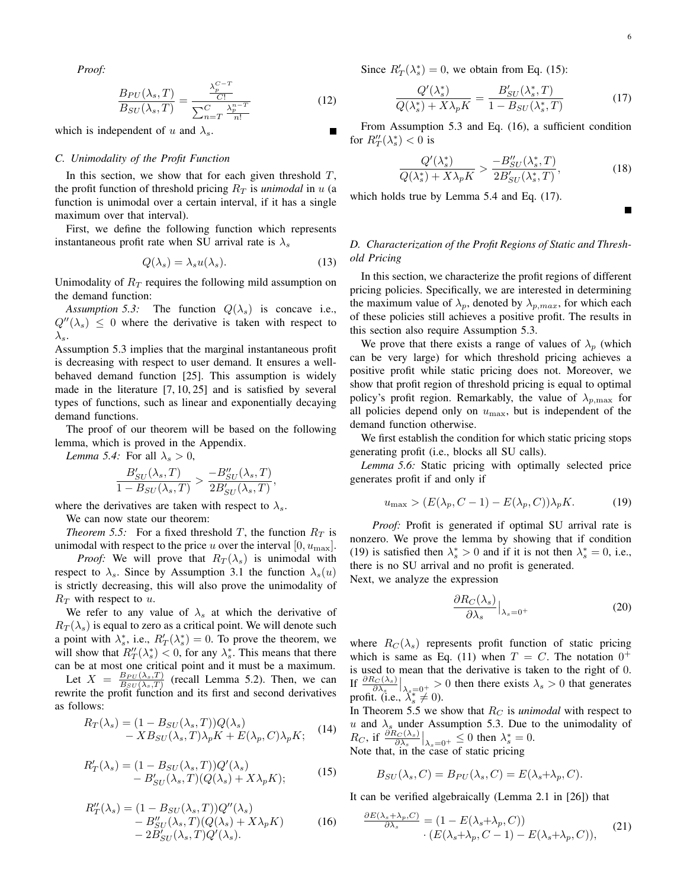*Proof:*

$$
\frac{B_{PU}(\lambda_s, T)}{B_{SU}(\lambda_s, T)} = \frac{\frac{\lambda_p^{C-T}}{C!}}{\sum_{n=T}^C \frac{\lambda_p^{n-T}}{n!}}
$$
(12)

which is independent of u and  $\lambda_s$ .

#### *C. Unimodality of the Profit Function*

In this section, we show that for each given threshold  $T$ , the profit function of threshold pricing  $R_T$  is *unimodal* in u (a function is unimodal over a certain interval, if it has a single maximum over that interval).

First, we define the following function which represents instantaneous profit rate when SU arrival rate is  $\lambda_s$ 

$$
Q(\lambda_s) = \lambda_s u(\lambda_s). \tag{13}
$$

Unimodality of  $R_T$  requires the following mild assumption on the demand function:

*Assumption 5.3:* The function  $Q(\lambda_s)$  is concave i.e.,  $Q''(\lambda_s)$  < 0 where the derivative is taken with respect to  $\lambda_s$ .

Assumption 5.3 implies that the marginal instantaneous profit is decreasing with respect to user demand. It ensures a wellbehaved demand function [25]. This assumption is widely made in the literature [7, 10, 25] and is satisfied by several types of functions, such as linear and exponentially decaying demand functions.

The proof of our theorem will be based on the following lemma, which is proved in the Appendix.

*Lemma 5.4:* For all  $\lambda_s > 0$ ,

$$
\frac{B'_{SU}(\lambda_s,T)}{1 - B_{SU}(\lambda_s,T)} > \frac{-B''_{SU}(\lambda_s,T)}{2B'_{SU}(\lambda_s,T)},
$$

where the derivatives are taken with respect to  $\lambda_s$ .

We can now state our theorem:

*Theorem 5.5:* For a fixed threshold T, the function  $R_T$  is unimodal with respect to the price u over the interval  $[0, u_{\text{max}}]$ .

*Proof:* We will prove that  $R_T(\lambda_s)$  is unimodal with respect to  $\lambda_s$ . Since by Assumption 3.1 the function  $\lambda_s(u)$ is strictly decreasing, this will also prove the unimodality of  $R_T$  with respect to u.

We refer to any value of  $\lambda_s$  at which the derivative of  $R_T(\lambda_s)$  is equal to zero as a critical point. We will denote such a point with  $\lambda_s^*$ , i.e.,  $R'_T(\lambda_s^*) = 0$ . To prove the theorem, we will show that  $R_T''(\lambda_s^*) < 0$ , for any  $\lambda_s^*$ . This means that there can be at most one critical point and it must be a maximum.

Let  $X = \frac{B_{PU}(\lambda_s, T)}{B_{V}(\lambda_s, T)}$  $\frac{B_{PU}(\lambda_s, T)}{B_{SU}(\lambda_s, T)}$  (recall Lemma 5.2). Then, we can rewrite the profit function and its first and second derivatives as follows:

$$
R_T(\lambda_s) = (1 - B_{SU}(\lambda_s, T))Q(\lambda_s)
$$
  
- 
$$
X B_{SU}(\lambda_s, T)\lambda_p K + E(\lambda_p, C)\lambda_p K;
$$
 (14)

$$
R'_T(\lambda_s) = (1 - B_{SU}(\lambda_s, T))Q'(\lambda_s)
$$
  
- 
$$
B'_{SU}(\lambda_s, T)(Q(\lambda_s) + X\lambda_p K);
$$
 (15)

$$
R_T''(\lambda_s) = (1 - B_{SU}(\lambda_s, T))Q''(\lambda_s)
$$
  
- 
$$
B_{SU}'(\lambda_s, T)(Q(\lambda_s) + X\lambda_p K)
$$
  
- 
$$
2B_{SU}'(\lambda_s, T)Q'(\lambda_s).
$$
 (16)

Since  $R'_T(\lambda_s^*) = 0$ , we obtain from Eq. (15):

$$
\frac{Q'(\lambda_s^*)}{Q(\lambda_s^*) + X\lambda_p K} = \frac{B'_{SU}(\lambda_s^*, T)}{1 - B_{SU}(\lambda_s^*, T)}
$$
(17)

From Assumption 5.3 and Eq. (16), a sufficient condition for  $R_T''(\lambda_s^*) < 0$  is

$$
\frac{Q'(\lambda_s^*)}{Q(\lambda_s^*) + X\lambda_p K} > \frac{-B''_{SU}(\lambda_s^*, T)}{2B'_{SU}(\lambda_s^*, T)},
$$
\n(18)

which holds true by Lemma 5.4 and Eq.  $(17)$ .

# *D. Characterization of the Profit Regions of Static and Threshold Pricing*

In this section, we characterize the profit regions of different pricing policies. Specifically, we are interested in determining the maximum value of  $\lambda_p$ , denoted by  $\lambda_{p,max}$ , for which each of these policies still achieves a positive profit. The results in this section also require Assumption 5.3.

We prove that there exists a range of values of  $\lambda_p$  (which can be very large) for which threshold pricing achieves a positive profit while static pricing does not. Moreover, we show that profit region of threshold pricing is equal to optimal policy's profit region. Remarkably, the value of  $\lambda_{p,\text{max}}$  for all policies depend only on  $u_{\text{max}}$ , but is independent of the demand function otherwise.

We first establish the condition for which static pricing stops generating profit (i.e., blocks all SU calls).

*Lemma 5.6:* Static pricing with optimally selected price generates profit if and only if

$$
u_{\max} > (E(\lambda_p, C - 1) - E(\lambda_p, C))\lambda_p K.
$$
 (19)

*Proof:* Profit is generated if optimal SU arrival rate is nonzero. We prove the lemma by showing that if condition (19) is satisfied then  $\lambda_s^* > 0$  and if it is not then  $\lambda_s^* = 0$ , i.e., there is no SU arrival and no profit is generated. Next, we analyze the expression

∂R<sup>C</sup> (λs)

$$
\frac{\partial R_C(\lambda_s)}{\partial \lambda_s}\Big|_{\lambda_s=0^+}\tag{20}
$$

where  $R_C(\lambda_s)$  represents profit function of static pricing which is same as Eq. (11) when  $T = C$ . The notation  $0^+$ is used to mean that the derivative is taken to the right of 0. If  $\frac{\partial R_C(\lambda_s)}{\partial \lambda_s} \Big|_{\lambda_s = 0^+} > 0$  then there exists  $\lambda_s > 0$  that generates profit. (i.e.,  $\lambda_s^* \neq 0$ ).

In Theorem 5.5 we show that  $R_C$  is *unimodal* with respect to u and  $\lambda_s$  under Assumption 5.3. Due to the unimodality of  $R_C$ , if  $\frac{\partial R_C(\lambda_s)}{\partial \lambda_s}\Big|_{\lambda_s=0^+}\leq 0$  then  $\lambda_s^*=0$ . Note that, in the case of static pricing

$$
B_{SU}(\lambda_s, C) = B_{PU}(\lambda_s, C) = E(\lambda_s + \lambda_p, C).
$$

It can be verified algebraically (Lemma 2.1 in [26]) that

$$
\frac{\partial E(\lambda_s + \lambda_p, C)}{\partial \lambda_s} = (1 - E(\lambda_s + \lambda_p, C))
$$
  
 
$$
\cdot (E(\lambda_s + \lambda_p, C - 1) - E(\lambda_s + \lambda_p, C)),
$$
 (21)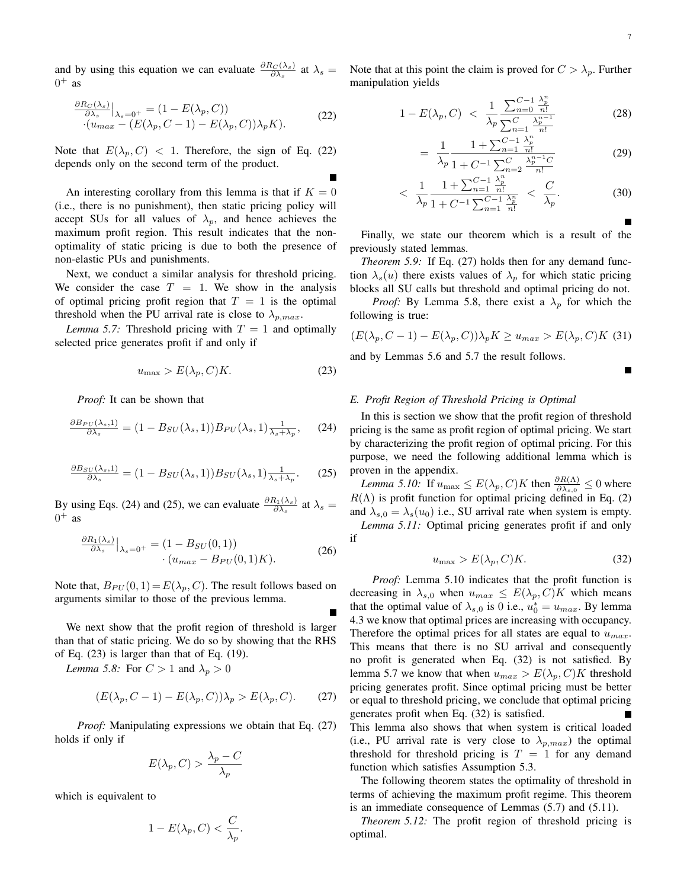and by using this equation we can evaluate  $\frac{\partial R_C(\lambda_s)}{\partial \lambda_s}$  at  $\lambda_s =$  $0^+$  as

$$
\frac{\partial R_C(\lambda_s)}{\partial \lambda_s}\Big|_{\lambda_s=0^+} = (1 - E(\lambda_p, C))
$$
\n
$$
\cdot (u_{max} - (E(\lambda_p, C - 1) - E(\lambda_p, C))\lambda_p K).
$$
\n(22)

Note that  $E(\lambda_p, C) < 1$ . Therefore, the sign of Eq. (22) depends only on the second term of the product.

An interesting corollary from this lemma is that if  $K = 0$ (i.e., there is no punishment), then static pricing policy will accept SUs for all values of  $\lambda_p$ , and hence achieves the maximum profit region. This result indicates that the nonoptimality of static pricing is due to both the presence of non-elastic PUs and punishments.

Next, we conduct a similar analysis for threshold pricing. We consider the case  $T = 1$ . We show in the analysis of optimal pricing profit region that  $T = 1$  is the optimal threshold when the PU arrival rate is close to  $\lambda_{p,max}$ .

*Lemma 5.7:* Threshold pricing with  $T = 1$  and optimally selected price generates profit if and only if

$$
u_{\text{max}} > E(\lambda_p, C)K. \tag{23}
$$

*Proof:* It can be shown that

$$
\frac{\partial B_{PU}(\lambda_s,1)}{\partial \lambda_s} = (1 - B_{SU}(\lambda_s,1)) B_{PU}(\lambda_s,1) \frac{1}{\lambda_s + \lambda_p},\tag{24}
$$

$$
\frac{\partial B_{SU}(\lambda_s,1)}{\partial \lambda_s} = (1 - B_{SU}(\lambda_s,1)) B_{SU}(\lambda_s,1) \frac{1}{\lambda_s + \lambda_p}.
$$
 (25)

By using Eqs. (24) and (25), we can evaluate  $\frac{\partial R_1(\lambda_s)}{\partial \lambda_s}$  at  $\lambda_s =$  $0^+$  as

$$
\frac{\partial R_1(\lambda_s)}{\partial \lambda_s}\Big|_{\lambda_s=0^+} = (1 - B_{SU}(0,1))
$$
  
·
$$
(u_{max} - B_{PU}(0,1)K).
$$
 (26)

Note that,  $B_{PU}(0, 1) = E(\lambda_p, C)$ . The result follows based on arguments similar to those of the previous lemma.

We next show that the profit region of threshold is larger than that of static pricing. We do so by showing that the RHS of Eq. (23) is larger than that of Eq. (19).

*Lemma 5.8:* For  $C > 1$  and  $\lambda_p > 0$ 

$$
(E(\lambda_p, C-1) - E(\lambda_p, C))\lambda_p > E(\lambda_p, C). \tag{27}
$$

*Proof:* Manipulating expressions we obtain that Eq. (27) holds if only if

$$
E(\lambda_p, C) > \frac{\lambda_p - C}{\lambda_p}
$$

which is equivalent to

$$
1 - E(\lambda_p, C) < \frac{C}{\lambda_p}.
$$

Note that at this point the claim is proved for  $C > \lambda_p$ . Further manipulation yields

$$
1 - E(\lambda_p, C) < \frac{1}{\lambda_p} \frac{\sum_{n=0}^{C-1} \frac{\lambda_p^n}{n!}}{\sum_{n=1}^C \frac{\lambda_p^{n-1}}{n!}} \tag{28}
$$

$$
= \frac{1}{\lambda_p} \frac{1 + \sum_{n=1}^{C-1} \frac{\lambda_p^n}{n!}}{1 + C^{-1} \sum_{n=2}^{C} \frac{\lambda_p^{n-1} C}{n!}}
$$
(29)

$$
< \frac{1}{\lambda_p} \frac{1 + \sum_{n=1}^{C-1} \frac{\lambda_p^n}{n!}}{1 + C^{-1} \sum_{n=1}^{C-1} \frac{\lambda_p^n}{n!}} < \frac{C}{\lambda_p}.
$$
 (30)

Finally, we state our theorem which is a result of the previously stated lemmas.

*Theorem 5.9:* If Eq. (27) holds then for any demand function  $\lambda_s(u)$  there exists values of  $\lambda_p$  for which static pricing blocks all SU calls but threshold and optimal pricing do not.

*Proof:* By Lemma 5.8, there exist a  $\lambda_p$  for which the following is true:

$$
(E(\lambda_p, C-1) - E(\lambda_p, C))\lambda_p K \ge u_{max} > E(\lambda_p, C)K
$$
 (31)

and by Lemmas 5.6 and 5.7 the result follows.

# *E. Profit Region of Threshold Pricing is Optimal*

In this is section we show that the profit region of threshold pricing is the same as profit region of optimal pricing. We start by characterizing the profit region of optimal pricing. For this purpose, we need the following additional lemma which is proven in the appendix.

*Lemma 5.10:* If  $u_{\text{max}} \leq E(\lambda_p, C)K$  then  $\frac{\partial R(\Lambda)}{\partial \lambda_{s,0}} \leq 0$  where  $R(\Lambda)$  is profit function for optimal pricing defined in Eq. (2) and  $\lambda_{s,0} = \lambda_s(u_0)$  i.e., SU arrival rate when system is empty. *Lemma 5.11:* Optimal pricing generates profit if and only if

$$
u_{\text{max}} > E(\lambda_p, C)K. \tag{32}
$$

*Proof:* Lemma 5.10 indicates that the profit function is decreasing in  $\lambda_{s,0}$  when  $u_{max} \leq E(\lambda_p, C)K$  which means that the optimal value of  $\lambda_{s,0}$  is 0 i.e.,  $u_0^* = u_{max}$ . By lemma 4.3 we know that optimal prices are increasing with occupancy. Therefore the optimal prices for all states are equal to  $u_{max}$ . This means that there is no SU arrival and consequently no profit is generated when Eq. (32) is not satisfied. By lemma 5.7 we know that when  $u_{max} > E(\lambda_n, C)K$  threshold pricing generates profit. Since optimal pricing must be better or equal to threshold pricing, we conclude that optimal pricing generates profit when Eq. (32) is satisfied.

This lemma also shows that when system is critical loaded (i.e., PU arrival rate is very close to  $\lambda_{p,max}$ ) the optimal threshold for threshold pricing is  $T = 1$  for any demand function which satisfies Assumption 5.3.

The following theorem states the optimality of threshold in terms of achieving the maximum profit regime. This theorem is an immediate consequence of Lemmas (5.7) and (5.11).

*Theorem 5.12:* The profit region of threshold pricing is optimal.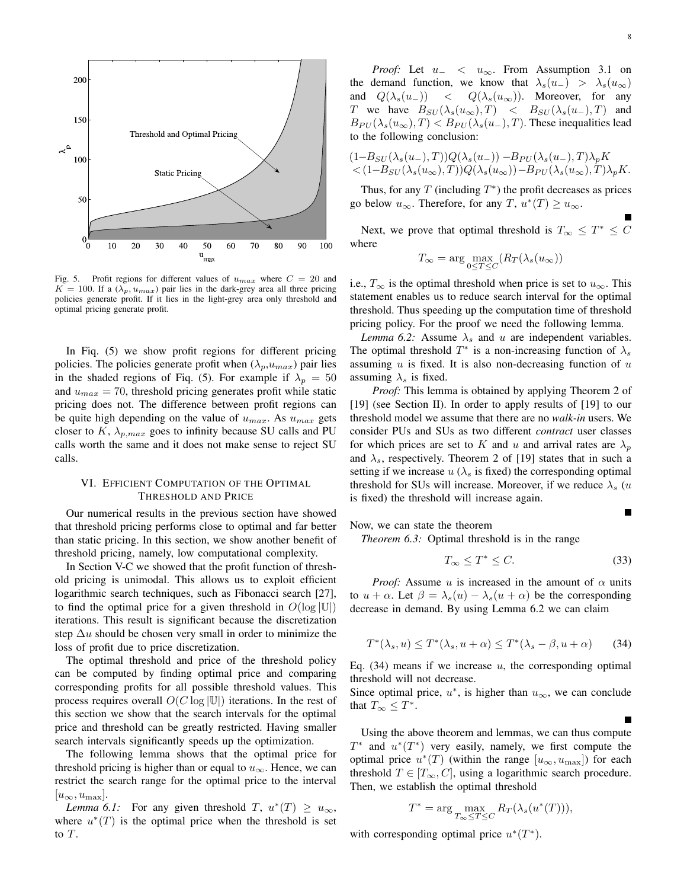

Fig. 5. Profit regions for different values of  $u_{max}$  where  $C = 20$  and  $K = 100$ . If a  $(\lambda_p, u_{max})$  pair lies in the dark-grey area all three pricing policies generate profit. If it lies in the light-grey area only threshold and optimal pricing generate profit.

In Fiq. (5) we show profit regions for different pricing policies. The policies generate profit when  $(\lambda_p, u_{max})$  pair lies in the shaded regions of Fiq. (5). For example if  $\lambda_p = 50$ and  $u_{max} = 70$ , threshold pricing generates profit while static pricing does not. The difference between profit regions can be quite high depending on the value of  $u_{max}$ . As  $u_{max}$  gets closer to K,  $\lambda_{p,max}$  goes to infinity because SU calls and PU calls worth the same and it does not make sense to reject SU calls.

# VI. EFFICIENT COMPUTATION OF THE OPTIMAL THRESHOLD AND PRICE

Our numerical results in the previous section have showed that threshold pricing performs close to optimal and far better than static pricing. In this section, we show another benefit of threshold pricing, namely, low computational complexity.

In Section V-C we showed that the profit function of threshold pricing is unimodal. This allows us to exploit efficient logarithmic search techniques, such as Fibonacci search [27], to find the optimal price for a given threshold in  $O(\log |U|)$ iterations. This result is significant because the discretization step  $\Delta u$  should be chosen very small in order to minimize the loss of profit due to price discretization.

The optimal threshold and price of the threshold policy can be computed by finding optimal price and comparing corresponding profits for all possible threshold values. This process requires overall  $O(C \log |\mathbb{U}|)$  iterations. In the rest of this section we show that the search intervals for the optimal price and threshold can be greatly restricted. Having smaller search intervals significantly speeds up the optimization.

The following lemma shows that the optimal price for threshold pricing is higher than or equal to  $u_{\infty}$ . Hence, we can restrict the search range for the optimal price to the interval  $[u_{\infty}, u_{\max}].$ 

*Lemma 6.1:* For any given threshold  $T$ ,  $u^*(T) \ge u_{\infty}$ , where  $u^*(T)$  is the optimal price when the threshold is set to T.

*Proof:* Let  $u_-\leq u_\infty$ . From Assumption 3.1 on the demand function, we know that  $\lambda_s(u_-\rangle > \lambda_s(u_\infty)$ and  $Q(\lambda_s(u_-) )$  <  $Q(\lambda_s(u_\infty))$ . Moreover, for any T we have  $B_{SU}(\lambda_s(u_\infty), T) < B_{SU}(\lambda_s(u_-), T)$  and  $B_{PU}(\lambda_s(u_\infty), T) < B_{PU}(\lambda_s(u_-), T)$ . These inequalities lead to the following conclusion:

$$
\begin{aligned} & (1 - B_{SU}(\lambda_s(u_-), T)) Q(\lambda_s(u_-)) - B_{PU}(\lambda_s(u_-), T) \lambda_p K \\ &< (1 - B_{SU}(\lambda_s(u_\infty), T)) Q(\lambda_s(u_\infty)) - B_{PU}(\lambda_s(u_\infty), T) \lambda_p K. \end{aligned}
$$

Thus, for any  $T$  (including  $T^*$ ) the profit decreases as prices go below  $u_{\infty}$ . Therefore, for any  $T$ ,  $u^*(T) \ge u_{\infty}$ .

Next, we prove that optimal threshold is  $T_{\infty} \leq T^* \leq C$ where

$$
T_{\infty} = \arg \max_{0 \le T \le C} (R_T(\lambda_s(u_{\infty}))
$$

i.e.,  $T_{\infty}$  is the optimal threshold when price is set to  $u_{\infty}$ . This statement enables us to reduce search interval for the optimal threshold. Thus speeding up the computation time of threshold pricing policy. For the proof we need the following lemma.

*Lemma 6.2:* Assume  $\lambda_s$  and u are independent variables. The optimal threshold  $T^*$  is a non-increasing function of  $\lambda_s$ assuming  $u$  is fixed. It is also non-decreasing function of  $u$ assuming  $\lambda_s$  is fixed.

*Proof:* This lemma is obtained by applying Theorem 2 of [19] (see Section II). In order to apply results of [19] to our threshold model we assume that there are no *walk-in* users. We consider PUs and SUs as two different *contract* user classes for which prices are set to K and u and arrival rates are  $\lambda_p$ and  $\lambda_s$ , respectively. Theorem 2 of [19] states that in such a setting if we increase  $u(\lambda_s)$  is fixed) the corresponding optimal threshold for SUs will increase. Moreover, if we reduce  $\lambda_s$  (u is fixed) the threshold will increase again.

Now, we can state the theorem

*Theorem 6.3:* Optimal threshold is in the range

$$
T_{\infty} \le T^* \le C. \tag{33}
$$

*Proof:* Assume u is increased in the amount of  $\alpha$  units to  $u + \alpha$ . Let  $\beta = \lambda_s(u) - \lambda_s(u + \alpha)$  be the corresponding decrease in demand. By using Lemma 6.2 we can claim

$$
T^*(\lambda_s, u) \le T^*(\lambda_s, u + \alpha) \le T^*(\lambda_s - \beta, u + \alpha) \tag{34}
$$

Eq.  $(34)$  means if we increase u, the corresponding optimal threshold will not decrease.

Since optimal price,  $u^*$ , is higher than  $u_{\infty}$ , we can conclude that  $T_{\infty} \leq T^*$ .

Using the above theorem and lemmas, we can thus compute  $T^*$  and  $u^*(T^*)$  very easily, namely, we first compute the optimal price  $u^*(T)$  (within the range  $[u_{\infty}, u_{\max}]$ ) for each threshold  $T \in [T_\infty, C]$ , using a logarithmic search procedure. Then, we establish the optimal threshold

$$
T^* = \arg\max_{T_{\infty} \le T \le C} R_T(\lambda_s(u^*(T))),
$$

with corresponding optimal price  $u^*(T^*)$ .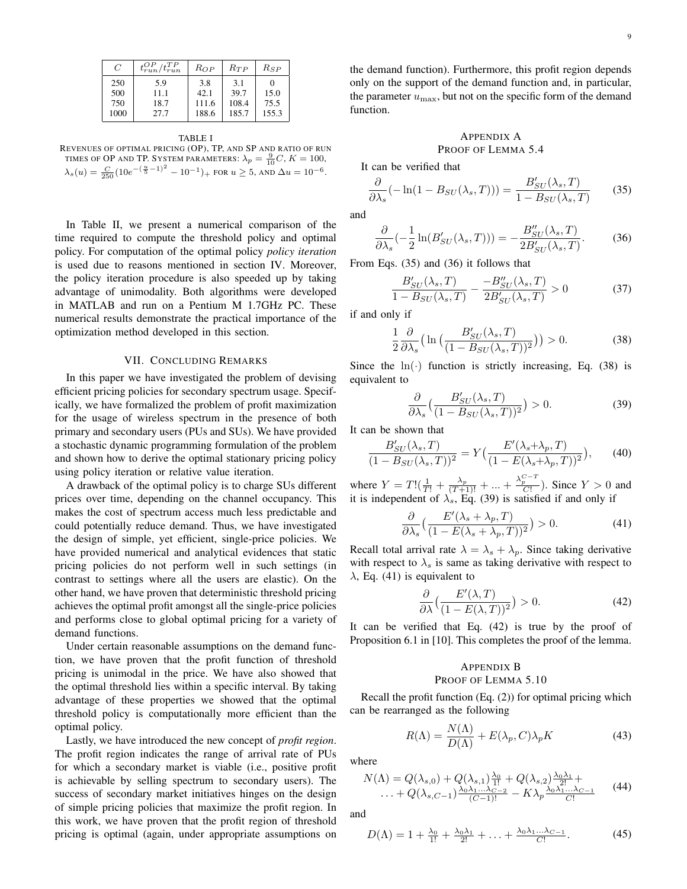| $\,C$ | $t_{run}^{OP}/t_{run}^{TP}$ | $R_{OP}$ | $R_{TP}$ | $R_{SP}$ |
|-------|-----------------------------|----------|----------|----------|
| 250   | 5.9                         | 3.8      | 3.1      |          |
| 500   | 11.1                        | 42.1     | 39.7     | 15.0     |
| 750   | 18.7                        | 111.6    | 108.4    | 75.5     |
| 1000  | 27.7                        | 188.6    | 185.7    | 155.3    |

TABLE I

REVENUES OF OPTIMAL PRICING (OP), TP, AND SP AND RATIO OF RUN<br>TIMES OF OP AND TP. SYSTEM PARAMETERS:  $\lambda_p = \frac{9}{10}C$ ,  $K = 100$ ,  $\lambda_s(u) = \frac{C}{250} (10e^{-(\frac{u}{5}-1)^2} - 10^{-1})_+$  FOR  $u \ge 5$ , AND  $\Delta u = 10^{-6}$ .

In Table II, we present a numerical comparison of the time required to compute the threshold policy and optimal policy. For computation of the optimal policy *policy iteration* is used due to reasons mentioned in section IV. Moreover, the policy iteration procedure is also speeded up by taking advantage of unimodality. Both algorithms were developed in MATLAB and run on a Pentium M 1.7GHz PC. These numerical results demonstrate the practical importance of the optimization method developed in this section.

# VII. CONCLUDING REMARKS

In this paper we have investigated the problem of devising efficient pricing policies for secondary spectrum usage. Specifically, we have formalized the problem of profit maximization for the usage of wireless spectrum in the presence of both primary and secondary users (PUs and SUs). We have provided a stochastic dynamic programming formulation of the problem and shown how to derive the optimal stationary pricing policy using policy iteration or relative value iteration.

A drawback of the optimal policy is to charge SUs different prices over time, depending on the channel occupancy. This makes the cost of spectrum access much less predictable and could potentially reduce demand. Thus, we have investigated the design of simple, yet efficient, single-price policies. We have provided numerical and analytical evidences that static pricing policies do not perform well in such settings (in contrast to settings where all the users are elastic). On the other hand, we have proven that deterministic threshold pricing achieves the optimal profit amongst all the single-price policies and performs close to global optimal pricing for a variety of demand functions.

Under certain reasonable assumptions on the demand function, we have proven that the profit function of threshold pricing is unimodal in the price. We have also showed that the optimal threshold lies within a specific interval. By taking advantage of these properties we showed that the optimal threshold policy is computationally more efficient than the optimal policy.

Lastly, we have introduced the new concept of *profit region*. The profit region indicates the range of arrival rate of PUs for which a secondary market is viable (i.e., positive profit is achievable by selling spectrum to secondary users). The success of secondary market initiatives hinges on the design of simple pricing policies that maximize the profit region. In this work, we have proven that the profit region of threshold pricing is optimal (again, under appropriate assumptions on the demand function). Furthermore, this profit region depends only on the support of the demand function and, in particular, the parameter  $u_{\text{max}}$ , but not on the specific form of the demand function.

# APPENDIX A PROOF OF LEMMA 5.4

It can be verified that

$$
\frac{\partial}{\partial \lambda_s}(-\ln(1 - B_{SU}(\lambda_s, T))) = \frac{B'_{SU}(\lambda_s, T)}{1 - B_{SU}(\lambda_s, T)}
$$
(35)

and

$$
\frac{\partial}{\partial \lambda_s}(-\frac{1}{2}\ln(B'_{SU}(\lambda_s,T))) = -\frac{B''_{SU}(\lambda_s,T)}{2B'_{SU}(\lambda_s,T)}.
$$
 (36)

From Eqs. (35) and (36) it follows that

$$
\frac{B'_{SU}(\lambda_s, T)}{1 - B_{SU}(\lambda_s, T)} - \frac{-B''_{SU}(\lambda_s, T)}{2B'_{SU}(\lambda_s, T)} > 0
$$
\n(37)

if and only if

$$
\frac{1}{2} \frac{\partial}{\partial \lambda_s} \left( \ln \left( \frac{B'_{SU}(\lambda_s, T)}{(1 - B_{SU}(\lambda_s, T))^2} \right) \right) > 0. \tag{38}
$$

Since the  $ln(·)$  function is strictly increasing, Eq. (38) is equivalent to

$$
\frac{\partial}{\partial \lambda_s} \left( \frac{B'_{SU}(\lambda_s, T)}{(1 - B_{SU}(\lambda_s, T))^2} \right) > 0.
$$
\n(39)

It can be shown that

$$
\frac{B'_{SU}(\lambda_s, T)}{(1 - B_{SU}(\lambda_s, T))^2} = Y\left(\frac{E'(\lambda_s + \lambda_p, T)}{(1 - E(\lambda_s + \lambda_p, T))^2}\right),\tag{40}
$$

where  $Y = T! \left( \frac{1}{T!} + \frac{\lambda_p}{(T+1)!} + \dots + \frac{\lambda_p^{C-T}}{C!} \right)$ . Since  $Y > 0$  and it is independent of  $\lambda_s$ , Eq. (39) is satisfied if and only if

$$
\frac{\partial}{\partial \lambda_s} \left( \frac{E'(\lambda_s + \lambda_p, T)}{(1 - E(\lambda_s + \lambda_p, T))^2} \right) > 0.
$$
\n(41)

Recall total arrival rate  $\lambda = \lambda_s + \lambda_p$ . Since taking derivative with respect to  $\lambda_s$  is same as taking derivative with respect to  $\lambda$ , Eq. (41) is equivalent to

$$
\frac{\partial}{\partial \lambda} \left( \frac{E'(\lambda, T)}{(1 - E(\lambda, T))^2} \right) > 0. \tag{42}
$$

It can be verified that Eq. (42) is true by the proof of Proposition 6.1 in [10]. This completes the proof of the lemma.

# APPENDIX B PROOF OF LEMMA 5.10

Recall the profit function (Eq. (2)) for optimal pricing which can be rearranged as the following

$$
R(\Lambda) = \frac{N(\Lambda)}{D(\Lambda)} + E(\lambda_p, C)\lambda_p K
$$
\n(43)

where

$$
N(\Lambda) = Q(\lambda_{s,0}) + Q(\lambda_{s,1})\frac{\lambda_0}{1!} + Q(\lambda_{s,2})\frac{\lambda_0\lambda_1}{2!} + \dots + Q(\lambda_{s,C-1})\frac{\lambda_0\lambda_1\ldots\lambda_{C-2}}{(C-1)!} - K\lambda_p\frac{\lambda_0\lambda_1\ldots\lambda_{C-1}}{C!}
$$
 (44)

and

$$
D(\Lambda) = 1 + \frac{\lambda_0}{1!} + \frac{\lambda_0 \lambda_1}{2!} + \ldots + \frac{\lambda_0 \lambda_1 \ldots \lambda_{C-1}}{C!}.
$$
 (45)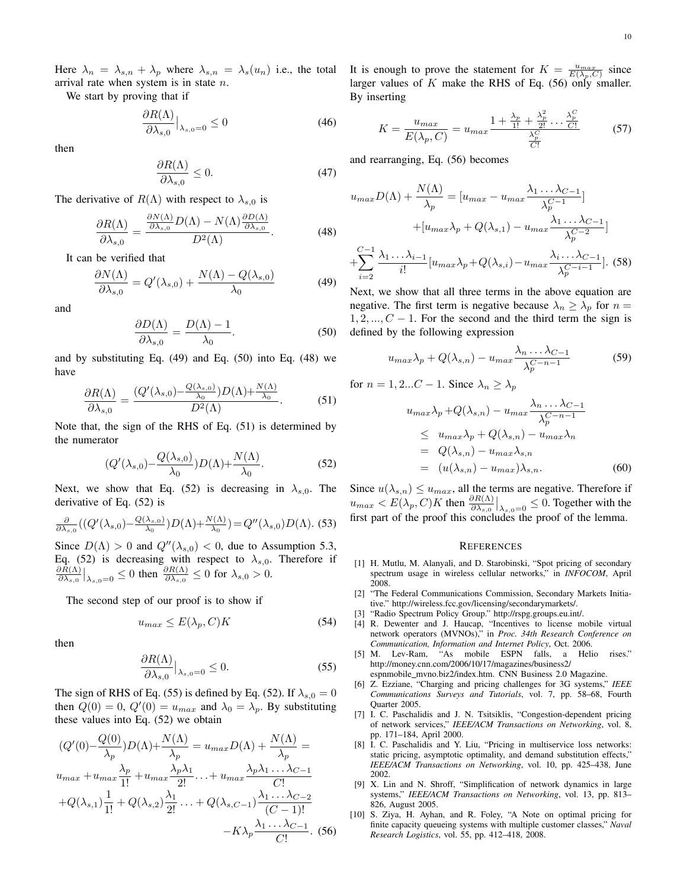Here  $\lambda_n = \lambda_{s,n} + \lambda_p$  where  $\lambda_{s,n} = \lambda_s(u_n)$  i.e., the total arrival rate when system is in state  $n$ .

We start by proving that if

$$
\frac{\partial R(\Lambda)}{\partial \lambda_{s,0}}\Big|_{\lambda_{s,0}=0} \le 0
$$
\n(46)

then

$$
\frac{\partial R(\Lambda)}{\partial \lambda_{s,0}} \le 0. \tag{47}
$$

The derivative of  $R(\Lambda)$  with respect to  $\lambda_{s,0}$  is

$$
\frac{\partial R(\Lambda)}{\partial \lambda_{s,0}} = \frac{\frac{\partial N(\Lambda)}{\partial \lambda_{s,0}} D(\Lambda) - N(\Lambda) \frac{\partial D(\Lambda)}{\partial \lambda_{s,0}}}{D^2(\Lambda)}.
$$
(48)

It can be verified that

$$
\frac{\partial N(\Lambda)}{\partial \lambda_{s,0}} = Q'(\lambda_{s,0}) + \frac{N(\Lambda) - Q(\lambda_{s,0})}{\lambda_0} \tag{49}
$$

and

$$
\frac{\partial D(\Lambda)}{\partial \lambda_{s,0}} = \frac{D(\Lambda) - 1}{\lambda_0}.\tag{50}
$$

and by substituting Eq. (49) and Eq. (50) into Eq. (48) we have

$$
\frac{\partial R(\Lambda)}{\partial \lambda_{s,0}} = \frac{(Q'(\lambda_{s,0}) - \frac{Q(\lambda_{s,0})}{\lambda_0})D(\Lambda) + \frac{N(\Lambda)}{\lambda_0}}{D^2(\Lambda)}.
$$
(51)

Note that, the sign of the RHS of Eq. (51) is determined by the numerator

$$
(Q'(\lambda_{s,0}) - \frac{Q(\lambda_{s,0})}{\lambda_0})D(\Lambda) + \frac{N(\Lambda)}{\lambda_0}.
$$
 (52)

Next, we show that Eq. (52) is decreasing in  $\lambda_{s,0}$ . The derivative of Eq. (52) is

$$
\frac{\partial}{\partial \lambda_{s,0}}\left( (Q'(\lambda_{s,0}) - \frac{Q(\lambda_{s,0})}{\lambda_0})D(\Lambda) + \frac{N(\Lambda)}{\lambda_0} \right) = Q''(\lambda_{s,0})D(\Lambda). \tag{53}
$$

Since  $D(\Lambda) > 0$  and  $Q''(\lambda_{s,0}) < 0$ , due to Assumption 5.3, Eq. (52) is decreasing with respect to  $\lambda_{s,0}$ . Therefore if  $\frac{\partial R(\Lambda)}{\partial t}$  < 0 than  $\frac{\partial R(\Lambda)}{\partial t}$  < 0 for  $\lambda_{s,0}$ .  $\partial \lambda_{s,0}$  $\left|\int_{\lambda_{s,0}=0} \leq 0 \right|$  then  $\frac{\partial R(\Lambda)}{\partial \lambda_{s,0}} \leq 0$  for  $\lambda_{s,0} > 0$ .

The second step of our proof is to show if

$$
u_{max} \le E(\lambda_p, C)K\tag{54}
$$

then

$$
\frac{\partial R(\Lambda)}{\partial \lambda_{s,0}}\Big|_{\lambda_{s,0}=0} \le 0.
$$
 (55)

The sign of RHS of Eq. (55) is defined by Eq. (52). If  $\lambda_{s,0} = 0$ then  $Q(0) = 0$ ,  $Q'(0) = u_{max}$  and  $\lambda_0 = \lambda_p$ . By substituting these values into Eq. (52) we obtain

$$
(Q'(0) - \frac{Q(0)}{\lambda_p})D(\Lambda) + \frac{N(\Lambda)}{\lambda_p} = u_{max}D(\Lambda) + \frac{N(\Lambda)}{\lambda_p} =
$$
  
\n
$$
u_{max} + u_{max} \frac{\lambda_p}{1!} + u_{max} \frac{\lambda_p \lambda_1}{2!} \dots + u_{max} \frac{\lambda_p \lambda_1 \dots \lambda_{C-1}}{C!}
$$
  
\n
$$
+ Q(\lambda_{s,1}) \frac{1}{1!} + Q(\lambda_{s,2}) \frac{\lambda_1}{2!} \dots + Q(\lambda_{s,C-1}) \frac{\lambda_1 \dots \lambda_{C-2}}{(C-1)!}
$$
  
\n
$$
-K\lambda_p \frac{\lambda_1 \dots \lambda_{C-1}}{C!}.
$$
 (56)

It is enough to prove the statement for  $K = \frac{u_{max}}{E(\lambda_p, C)}$  since larger values of  $K$  make the RHS of Eq. (56) only smaller. By inserting

$$
K = \frac{u_{max}}{E(\lambda_p, C)} = u_{max} \frac{1 + \frac{\lambda_p}{1!} + \frac{\lambda_p^2}{2!} \cdots \frac{\lambda_p^C}{C!}}{\frac{\lambda_p^C}{C!}}
$$
(57)

and rearranging, Eq. (56) becomes

$$
u_{max}D(\Lambda) + \frac{N(\Lambda)}{\lambda_p} = [u_{max} - u_{max} \frac{\lambda_1 \dots \lambda_{C-1}}{\lambda_p^{C-1}}] + [u_{max} \lambda_p + Q(\lambda_{s,1}) - u_{max} \frac{\lambda_1 \dots \lambda_{C-1}}{\lambda_p^{C-2}}]
$$

$$
+ \sum_{i=2}^{C-1} \frac{\lambda_1 \dots \lambda_{i-1}}{i!} [u_{max} \lambda_p + Q(\lambda_{s,i}) - u_{max} \frac{\lambda_i \dots \lambda_{C-1}}{\lambda_p^{C-i-1}}].
$$
(58)

Next, we show that all three terms in the above equation are negative. The first term is negative because  $\lambda_n \geq \lambda_p$  for  $n =$  $1, 2, \ldots, C - 1$ . For the second and the third term the sign is defined by the following expression

$$
u_{max} \lambda_p + Q(\lambda_{s,n}) - u_{max} \frac{\lambda_n \dots \lambda_{C-1}}{\lambda_p^{C-n-1}} \tag{59}
$$

for 
$$
n = 1, 2...C - 1
$$
. Since  $\lambda_n \ge \lambda_p$   
\n
$$
u_{max} \lambda_p + Q(\lambda_{s,n}) - u_{max} \frac{\lambda_n \dots \lambda_{C-1}}{\lambda_p^{C-n-1}}
$$
\n
$$
\le u_{max} \lambda_p + Q(\lambda_{s,n}) - u_{max} \lambda_n
$$
\n
$$
= Q(\lambda_{s,n}) - u_{max} \lambda_{s,n}
$$
\n
$$
= (u(\lambda_{s,n}) - u_{max}) \lambda_{s,n}.
$$
\n(60)

Since  $u(\lambda_{s,n}) \leq u_{max}$ , all the terms are negative. Therefore if  $u_{max} < E(\lambda_p, C)K$  then  $\frac{\partial R(\Lambda)}{\partial \lambda_{s,0}}$ Erms are negative. Therefore if  $\Big|_{\lambda_{s,0}=0} \leq 0$ . Together with the first part of the proof this concludes the proof of the lemma.

#### **REFERENCES**

- [1] H. Mutlu, M. Alanyali, and D. Starobinski, "Spot pricing of secondary spectrum usage in wireless cellular networks," in *INFOCOM*, April 2008.
- [2] "The Federal Communications Commission, Secondary Markets Initiative." http://wireless.fcc.gov/licensing/secondarymarkets/.
- [3] "Radio Spectrum Policy Group." http://rspg.groups.eu.int/.
- [4] R. Dewenter and J. Haucap, "Incentives to license mobile virtual network operators (MVNOs)," in *Proc. 34th Research Conference on Communication, Information and Internet Policy*, Oct. 2006.
- [5] M. Lev-Ram, "As mobile ESPN falls, a Helio rises." http://money.cnn.com/2006/10/17/magazines/business2/
	- espnmobile mvno.biz2/index.htm. CNN Business 2.0 Magazine.
- [6] Z. Ezziane, "Charging and pricing challenges for 3G systems," *IEEE Communications Surveys and Tutorials*, vol. 7, pp. 58–68, Fourth Quarter 2005.
- [7] I. C. Paschalidis and J. N. Tsitsiklis, "Congestion-dependent pricing of network services," *IEEE/ACM Transactions on Networking*, vol. 8, pp. 171–184, April 2000.
- [8] I. C. Paschalidis and Y. Liu, "Pricing in multiservice loss networks: static pricing, asymptotic optimality, and demand substitution effects," *IEEE/ACM Transactions on Networking*, vol. 10, pp. 425–438, June 2002.
- [9] X. Lin and N. Shroff, "Simplification of network dynamics in large systems," *IEEE/ACM Transactions on Networking*, vol. 13, pp. 813– 826, August 2005.
- [10] S. Ziya, H. Ayhan, and R. Foley, "A Note on optimal pricing for finite capacity queueing systems with multiple customer classes," *Naval Research Logistics*, vol. 55, pp. 412–418, 2008.